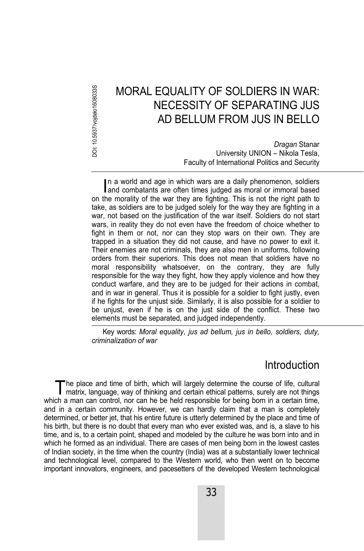DOI: 10.5937/vojdelo1608033S DOI: 10.5937/vojdelo1608033S

# MORAL EQUALITY OF SOLDIERS IN WAR: NECESSITY OF SEPARATING JUS AD BELLUM FROM JUS IN BELLO

*Dragan* Stanar University UNION – Nikola Tesla, Faculty of International Politics and Security

In a world and age in which wars are a daily phenomenon, soldiers In a world and age in which wars are a daily phenomenon, soldiers and combatants are often times judged as moral or immoral based on the morality of the war they are fighting. This is not the right path to take, as soldiers are to be judged solely for the way they are fighting in a war, not based on the justification of the war itself. Soldiers do not start wars, in reality they do not even have the freedom of choice whether to fight in them or not, nor can they stop wars on their own. They are trapped in a situation they did not cause, and have no power to exit it. Their enemies are not criminals, they are also men in uniforms, following orders from their superiors. This does not mean that soldiers have no moral responsibility whatsoever, on the contrary, they are fully responsible for the way they fight, how they apply violence and how they conduct warfare, and they are to be judged for their actions in combat, and in war in general. Thus it is possible for a soldier to fight justly, even if he fights for the unjust side. Similarly, it is also possible for a soldier to be unjust, even if he is on the just side of the conflict. These two elements must be separated, and judged independently.

Key words: *Moral equality, jus ad bellum, jus in bello, soldiers, duty, criminalization of war*

### Introduction

he place and time of birth, which will largely determine the course of life, cultural The place and time of birth, which will largely determine the course of life, cultural matrix, language, way of thinking and certain ethical patterns, surely are not things which a man can control, nor can he be held responsible for being born in a certain time, and in a certain community. However, we can hardly claim that a man is completely determined, or better jet, that his entire future is utterly determined by the place and time of his birth, but there is no doubt that every man who ever existed was, and is, a slave to his time, and is, to a certain point, shaped and modeled by the culture he was born into and in which he formed as an individual. There are cases of men being born in the lowest castes of Indian society, in the time when the country (India) was at a substantially lower technical and technological level, compared to the Western world, who then went on to become important innovators, engineers, and pacesetters of the developed Western technological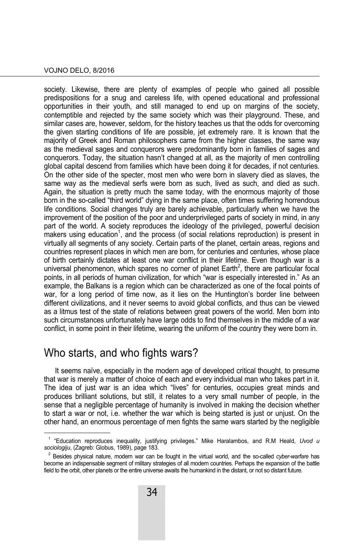#### VOJNO DELO, 8/2016

society. Likewise, there are plenty of examples of people who gained all possible predispositions for a snug and careless life, with opened educational and professional opportunities in their youth, and still managed to end up on margins of the society, contemptible and rejected by the same society which was their playground. These, and similar cases are, however, seldom, for the history teaches us that the odds for overcoming the given starting conditions of life are possible, jet extremely rare. It is known that the majority of Greek and Roman philosophers came from the higher classes, the same way as the medieval sages and conquerors were predominantly born in families of sages and conquerors. Today, the situation hasn't changed at all, as the majority of men controlling global capital descend from families which have been doing it for decades, if not centuries. On the other side of the specter, most men who were born in slavery died as slaves, the same way as the medieval serfs were born as such, lived as such, and died as such. Again, the situation is pretty much the same today, with the enormous majority of those born in the so-called "third world" dying in the same place, often times suffering horrendous life conditions. Social changes truly are barely achievable, particularly when we have the improvement of the position of the poor and underprivileged parts of society in mind, in any part of the world. A society reproduces the ideology of the privileged, powerful decision makers using education<sup>1</sup>, and the process (of social relations reproduction) is present in virtually all segments of any society. Certain parts of the planet, certain areas, regions and countries represent places in which men are born, for centuries and centuries, whose place of birth certainly dictates at least one war conflict in their lifetime. Even though war is a universal phenomenon, which spares no corner of planet Earth<sup>2</sup>, there are particular focal points, in all periods of human civilization, for which "war is especially interested in." As an example, the Balkans is a region which can be characterized as one of the focal points of war, for a long period of time now, as it lies on the Huntington's border line between different civilizations, and it never seems to avoid global conflicts, and thus can be viewed as a litmus test of the state of relations between great powers of the world. Men born into such circumstances unfortunately have large odds to find themselves in the middle of a war conflict, in some point in their lifetime, wearing the uniform of the country they were born in.

### Who starts, and who fights wars?

 $\overline{a}$ 

It seems naïve, especially in the modern age of developed critical thought, to presume that war is merely a matter of choice of each and every individual man who takes part in it. The idea of just war is an idea which "lives" for centuries, occupies great minds and produces brilliant solutions, but still, it relates to a very small number of people, in the sense that a negligible percentage of humanity is involved in making the decision whether to start a war or not, i.e. whether the war which is being started is just or unjust. On the other hand, an enormous percentage of men fights the same wars started by the negligible

<sup>1</sup> "Education reproduces inequality, justifying privileges." Mike Haralambos, and R.M Heald, *Uvod u sociologiju*, (Zagreb: Globus, 1989), page 183. 2

<sup>&</sup>lt;sup>2</sup> Besides physical nature, modern war can be fought in the virtual world, and the so-called *cyber-warfare* has become an indispensable segment of military strategies of all modern countries. Perhaps the expansion of the battle field to the orbit, other planets or the entire universe awaits the humankind in the distant, or not so distant future.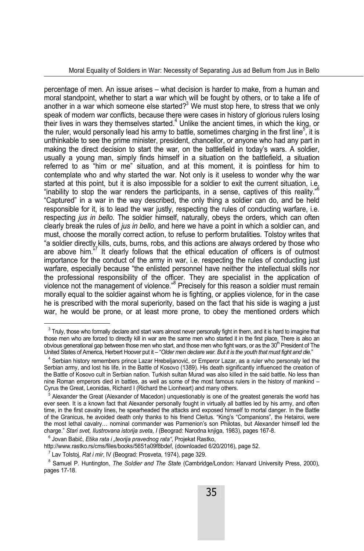percentage of men. An issue arises – what decision is harder to make, from a human and moral standpoint, whether to start a war which will be fought by others, or to take a life of another in a war which someone else started? $3$  We must stop here, to stress that we only speak of modern war conflicts, because there were cases in history of glorious rulers losing their lives in wars they themselves started.<sup>4</sup> Unlike the ancient times, in which the king, or the ruler, would personally lead his army to battle, sometimes charging in the first line<sup>5</sup>, it is unthinkable to see the prime minister, president, chancellor, or anyone who had any part in making the direct decision to start the war, on the battlefield in today's wars. A soldier, usually a young man, simply finds himself in a situation on the battlefield, a situation referred to as "him or me" situation, and at this moment, it is pointless for him to contemplate who and why started the war. Not only is it useless to wonder why the war started at this point, but it is also impossible for a soldier to exit the current situation, i.e. "inability to stop the war renders the participants, in a sense, captives of this reality."<sup>6</sup> "Captured" in a war in the way described, the only thing a soldier can do, and be held responsible for it, is to lead the war justly, respecting the rules of conducting warfare, i.e. respecting *јus in bello.* The soldier himself, naturally, obeys the orders, which can often clearly break the rules of *јus in bello*, and here we have a point in which a soldier can, and must, choose the morally correct action, to refuse to perform brutalities. Tolstoy writes that "a soldier directly kills, cuts, burns, robs, and this actions are always ordered by those who are above him.<sup>57</sup> It clearly follows that the ethical education of officers is of outmost importance for the conduct of the army in war, i.e. respecting the rules of conducting just warfare, especially because "the enlisted personnel have neither the intellectual skills nor the professional responsibility of the officer. They are specialist in the application of violence not the management of violence."<sup>8</sup> Precisely for this reason a soldier must remain morally equal to the soldier against whom he is fighting, or applies violence, for in the case he is prescribed with the moral superiority, based on the fact that his side is waging a just war, he would be prone, or at least more prone, to obey the mentioned orders which

 $^3$  Truly, those who formally declare and start wars almost never personally fight in them, and it is hard to imagine that those men who are forced to directly kill in war are the same men who started it in the first place. There is also an obvious generational gap between those men who start, and those men who fight wars, or as the  $30<sup>th</sup>$  President of The United States of America, Herbert Hoover put it – "*Older men declare war. But it is the youth that must fight and die.*" 4

<sup>&</sup>lt;sup>4</sup> Serbian history remembers prince Lazar Hrebeljanović, or Emperor Lazar, as a ruler who personaly led the Serbian army, and lost his life, in the Battle of Kosovo (1389). His death significantly influenced the creation of the Battle of Kosovo cult in Serbian nation. Turkish sultan Murad was also killed in the said battle. No less than nine Roman emperors died in battles, as well as some of the most famous rulers in the history of mankind – Cyrus the Great, Leonidas, Richard I (Richard the Lionheart) and many others.

Alexander the Great (Alexander of Macedon) unquestionably is one of the greatest generals the world has ever seen. It is a known fact that Alexander personally fought in virtually all battles led by his army, and often time, in the first cavalry lines, he spearheaded the attacks and exposed himself to mortal danger. In the Battle of the Granicus, he avoided death only thanks to his friend Cleitus. "King's "Companions", the Hetairoi, were the most lethal cavalry… nominal commander was Parmenion's son Philotas, but Alexander himself led the charge." *Stari svet, Ilustrovana istorija sveta, I* (Beograd: Narodna knjiga, 1983), pages 167-8. 6

<sup>&</sup>lt;sup>6</sup> Jovan Babić, *Etika rata i "teorija pravednog rata"*, Projekat Rastko,

http://www.rastko.rs/cms/files/books/5651a09f8bdef, (downloaded 6/20/2016), page 52.

<sup>&</sup>lt;sup>7</sup> Lav Tolstoj, *Rat i mir*, IV (Beograd: Prosveta, 1974), page 329.<br><sup>8</sup> Samuel B. Huntington, *The Soldier and The State (Combrid*:

Samuel P. Huntington, *The Soldier and The State* (Cambridge/London: Harvard University Press, 2000), pages 17-18.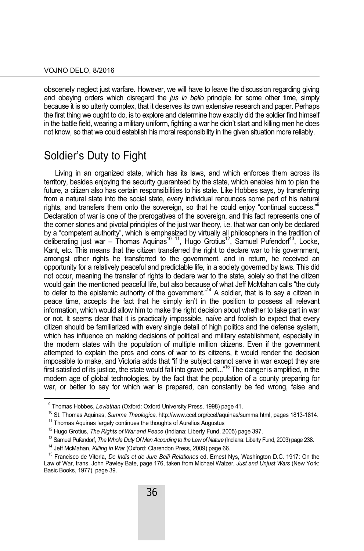obscenely neglect just warfare. However, we will have to leave the discussion regarding giving and obeying orders which disregard the *јus in bello* principle for some other time, simply because it is so utterly complex, that it deserves its own extensive research and paper. Perhaps the first thing we ought to do, is to explore and determine how exactly did the soldier find himself in the battle field, wearing a military uniform, fighting a war he didn't start and killing men he does not know, so that we could establish his moral responsibility in the given situation more reliably.

### Soldier's Duty to Fight

Living in an organized state, which has its laws, and which enforces them across its territory, besides enjoying the security guaranteed by the state, which enables him to plan the future, a citizen also has certain responsibilities to his state. Like Hobbes says, by transferring from a natural state into the social state, every individual renounces some part of his natural rights, and transfers them onto the sovereign, so that he could enjoy "continual success."<sup>9</sup> Declaration of war is one of the prerogatives of the sovereign, and this fact represents one of the corner stones and pivotal principles of the just war theory, i.e. that war can only be declared by a "competent authority", which is emphasized by virtually all philosophers in the tradition of deliberating just war – Thomas Aquinas<sup>10 11</sup>, Hugo Grotius<sup>12</sup>, Samuel Pufendorf<sup>13</sup>, Locke, Kant, etc. This means that the citizen transferred the right to declare war to his government, amongst other rights he transferred to the government, and in return, he received an opportunity for a relatively peaceful and predictable life, in a society governed by laws. This did not occur, meaning the transfer of rights to declare war to the state, solely so that the citizen would gain the mentioned peaceful life, but also because of what Jeff McMahan calls "the duty to defer to the epistemic authority of the government."<sup>14</sup> A soldier, that is to say a citizen in peace time, accepts the fact that he simply isn't in the position to possess all relevant information, which would allow him to make the right decision about whether to take part in war or not. It seems clear that it is practically impossible, naïve and foolish to expect that every citizen should be familiarized with every single detail of high politics and the defense system, which has influence on making decisions of political and military establishment, especially in the modern states with the population of multiple million citizens. Even if the government attempted to explain the pros and cons of war to its citizens, it would render the decision impossible to make, and Victoria adds that "if the subject cannot serve in war except they are first satisfied of its justice, the state would fall into grave peril..."15 The danger is amplified, in the modern age of global technologies, by the fact that the population of a county preparing for war, or better to say for which war is prepared, can constantly be fed wrong, false and

<sup>&</sup>lt;sup>9</sup> Thomas Hobbes, Leviathan (Oxford: Oxford University Press, 1998) page 41.

<sup>&</sup>lt;sup>10</sup> St. Thomas Aquinas, S*umma Theologica*, http://www.ccel.org/ccel/aquinas/summa.html, pages 1813-1814.<br><sup>11</sup> Thomas Aquinas largely continues the thoughts of Aurelius Augustus<br><sup>12</sup> Hugo Grotius, *The Rights of War and P* 

<sup>&</sup>lt;sup>13</sup> Samuel Pufendorf, *The Whole Duty Of Man According to the Law of Nature* (Indiana: Liberty Fund, 2003) page 238.<br><sup>14</sup> Jeff McMahan, *Killing in War* (Oxford: Clarendon Press, 2009) page 66.<br><sup>15</sup> Francisco de Vitoria,

Law of War, trans. John Pawley Bate, page 176, taken from Michael Walzer, *Just and Unjust Wars* (New York: Basic Books, 1977), page 39.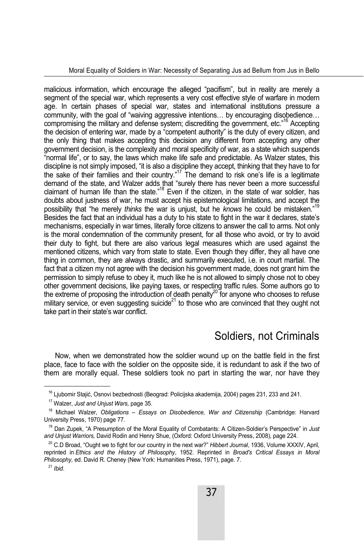malicious information, which encourage the alleged "pacifism", but in reality are merely a segment of the special war, which represents a very cost effective style of warfare in modern age. In certain phases of special war, states and international institutions pressure a community, with the goal of "waiving aggressive intentions… by encouraging disobedience… compromising the military and defense system; discrediting the government, etc."16 Accepting the decision of entering war, made by a "competent authority" is the duty of every citizen, and the only thing that makes accepting this decision any different from accepting any other government decision, is the complexity and moral specificity of war, as a state which suspends "normal life", or to say, the laws which make life safe and predictable. As Walzer states, this discipline is not simply imposed, "it is also a discipline they accept, thinking that they have to for the sake of their families and their country."<sup>17</sup> The demand to risk one's life is a legitimate demand of the state, and Walzer adds that "surely there has never been a more successful claimant of human life than the state."18 Even if the citizen, in the state of war soldier, has doubts about justness of war, he must accept his epistemological limitations, and accept the possibility that "he merely *thinks* the war is unjust, but he *knows* he could be mistaken."19 Besides the fact that an individual has a duty to his state to fight in the war it declares, state's mechanisms, especially in war times, literally force citizens to answer the call to arms. Not only is the moral condemnation of the community present, for all those who avoid, or try to avoid their duty to fight, but there are also various legal measures which are used against the mentioned citizens, which vary from state to state. Even though they differ, they all have one thing in common, they are always drastic, and summarily executed, i.e. in court martial. The fact that a citizen my not agree with the decision his government made, does not grant him the permission to simply refuse to obey it, much like he is not allowed to simply chose not to obey other government decisions, like paying taxes, or respecting traffic rules. Some authors go to the extreme of proposing the introduction of death penalty<sup>20</sup> for anyone who chooses to refuse military service, or even suggesting suicide<sup>21</sup> to those who are convinced that they ought not take part in their state's war conflict.

## Soldiers, not Criminals

Now, when we demonstrated how the soldier wound up on the battle field in the first place, face to face with the soldier on the opposite side, it is redundant to ask if the two of them are morally equal. These soldiers took no part in starting the war, nor have they

<sup>&</sup>lt;sup>16</sup> Ljubomir Stajić, Osnovi bezbednosti (Beograd: Policijska akademija, 2004) pages 231, 233 and 241.<br><sup>17</sup> Walzer, *Just and Unjust Wars,* page 35.<br><sup>18</sup> Michael Walzer, *Obligations – Essays on Disobedience, War and Citiz* University Press, 1970) page 77.

<sup>19</sup> Dan Zupek, "A Presumption of the Moral Equality of Combatants: A Citizen-Soldier's Perspective" in *Just* 

<sup>&</sup>lt;sup>20</sup> C.D Broad, "Ought we to fight for our country in the next war?" *Hibbert Journal*, 1936, Volume XXXIV, April, reprinted in *Ethics and the History of Philosophy*, 1952. Reprinted in *Broad's Critical Essays in Moral Philosophy,* ed. David R. Cheney (New York: Humanities Press, 1971), page. 7. 21 *Ibid*.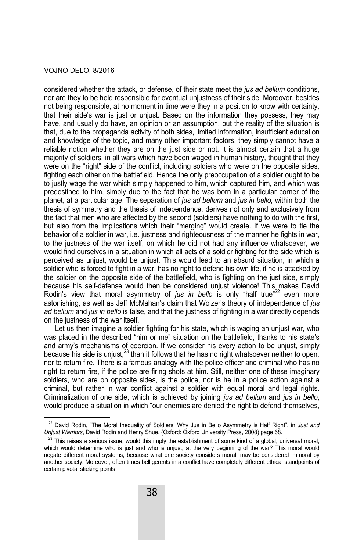#### VOJNO DELO, 8/2016

 $\overline{a}$ 

considered whether the attack, or defense, of their state meet the *јus ad bellum* conditions, nor are they to be held responsible for eventual unjustness of their side. Moreover, besides not being responsible, at no moment in time were they in a position to know with certainty, that their side's war is just or unjust. Based on the information they possess, they may have, and usually do have, an opinion or an assumption, but the reality of the situation is that, due to the propaganda activity of both sides, limited information, insufficient education and knowledge of the topic, and many other important factors, they simply cannot have a reliable notion whether they are on the just side or not. It is almost certain that a huge majority of soldiers, in all wars which have been waged in human history, thought that they were on the "right" side of the conflict, including soldiers who were on the opposite sides, fighting each other on the battlefield. Hence the only preoccupation of a soldier ought to be to justly wage the war which simply happened to him, which captured him, and which was predestined to him, simply due to the fact that he was born in a particular corner of the planet, at a particular age. The separation of *јus ad bellum* and *јus in bello,* within both the thesis of symmetry and the thesis of independence, derives not only and exclusively from the fact that men who are affected by the second (soldiers) have nothing to do with the first, but also from the implications which their "merging" would create. If we were to tie the behavior of a soldier in war, i.e. justness and righteousness of the manner he fights in war, to the justness of the war itself, on which he did not had any influence whatsoever, we would find ourselves in a situation in which all acts of a soldier fighting for the side which is perceived as unjust, would be unjust. This would lead to an absurd situation, in which a soldier who is forced to fight in a war, has no right to defend his own life, if he is attacked by the soldier on the opposite side of the battlefield, who is fighting on the just side, simply because his self-defense would then be considered unjust violence! This makes David Rodin's view that moral asymmetry of *jus in bello* is only "half true"<sup>22</sup> even more astonishing, as well as Jeff McMahan's claim that Wolzer's theory of independence of *јus*  ad bellum and *jus in bello* is false, and that the justness of fighting in a war directly depends on the justness of the war itself.

Let us then imagine a soldier fighting for his state, which is waging an unjust war, who was placed in the described "him or me" situation on the battlefield, thanks to his state's and army's mechanisms of coercion. If we consider his every action to be unjust, simply because his side is unjust, $^{23}$  than it follows that he has no right whatsoever neither to open, nor to return fire. There is a famous analogy with the police officer and criminal who has no right to return fire, if the police are firing shots at him. Still, neither one of these imaginary soldiers, who are on opposite sides, is the police, nor is he in a police action against a criminal, but rather in war conflict against a soldier with equal moral and legal rights. Criminalization of one side, which is achieved by joining *јus ad bellum* and *јus in bello*, would produce a situation in which "our enemies are denied the right to defend themselves,

<sup>22</sup> David Rodin, "The Moral Inequality of Soldiers: Why Jus in Bello Asymmetry is Half Right", in *Just and Unjust Warriors*, David Rodin and Henry Shue, (Oxford: Oxford University Press, 2008) page 68.<br><sup>23</sup> This raises a serious issue, would this imply the establishment of some kind of a global, universal moral,

which would determine who is just and who is unjust, at the very beginning of the war? This moral would negate different moral systems, because what one society considers moral, may be considered immoral by another society. Moreover, often times belligerents in a conflict have completely different ethical standpoints of certain pivotal sticking points.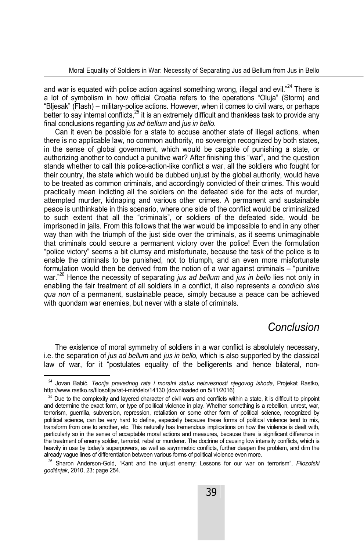and war is equated with police action against something wrong, illegal and evil.<sup>"24</sup> There is a lot of symbolism in how official Croatia refers to the operations "Oluja" (Storm) and "Bljesak" (Flash) – military-police actions. However, when it comes to civil wars, or perhaps  $\frac{1}{2}$  better to say internal conflicts, $25$  it is an extremely difficult and thankless task to provide any final conclusions regarding *јus ad bellum* and *јus in bello.* 

Can it even be possible for a state to accuse another state of illegal actions, when there is no applicable law, no common authority, no sovereign recognized by both states, in the sense of global government, which would be capable of punishing a state, or authorizing another to conduct a punitive war? After finishing this "war", and the question stands whether to call this police-action-like conflict a war, all the soldiers who fought for their country, the state which would be dubbed unjust by the global authority, would have to be treated as common criminals, and accordingly convicted of their crimes. This would practically mean indicting all the soldiers on the defeated side for the acts of murder, attempted murder, kidnaping and various other crimes. A permanent and sustainable peace is unthinkable in this scenario, where one side of the conflict would be criminalized to such extent that all the "criminals", or soldiers of the defeated side, would be imprisoned in jails. From this follows that the war would be impossible to end in any other way than with the triumph of the just side over the criminals, as it seems unimaginable that criminals could secure a permanent victory over the police! Even the formulation "police victory" seems a bit clumsy and misfortunate, because the task of the police is to enable the criminals to be punished, not to triumph, and an even more misfortunate formulation would then be derived from the notion of a war against criminals – "punitive war."26 Hence the necessity of separating *јus ad bellum* and *јus in bello* lies not only in enabling the fair treatment of all soldiers in a conflict, it also represents a *condicio sine qua non* of a permanent, sustainable peace, simply because a peace can be achieved with quondam war enemies, but never with a state of criminals.

### *Conclusion*

The existence of moral symmetry of soldiers in a war conflict is absolutely necessary, i.e. the separation of *јus ad bellum* and *јus in bello,* which is also supported by the classical law of war, for it "postulates equality of the belligerents and hence bilateral, non-

Jovan Babić, *Teorija pravednog rata i moralni status neizvesnosti njegovog ishoda, Projekat Rastko*, http://www.rastko.rs/filosofija/rat-i-mir/delo/14130 (downloaded on 5/11/2016)

 $25$  Due to the complexity and layered character of civil wars and conflicts within a state, it is difficult to pinpoint and determine the exact form, or type of political violence in play. Whether something is a rebellion, unrest, war, terrorism, guerrilla, subversion, repression, retaliation or some other form of political science, recognized by political science, can be very hard to define, especially because these forms of political violence tend to mix, transform from one to another, etc. This naturally has tremendous implications on how the violence is dealt with, particularly so in the sense of acceptable moral actions and measures, because there is significant difference in the treatment of enemy soldier, terrorist, rebel or murderer. The doctrine of causing low intensity conflicts, which is heavily in use by today's superpowers, as well as asymmetric conflicts, further deepen the problem, and dim the already vague lines of differentiation between various forms of political violence even more.

<sup>26</sup> Sharon Anderson-Gold, "Kant and the unjust enemy: Lessons for our war on terrorism", *Filozofski godišnjak*, 2010, 23: page 254.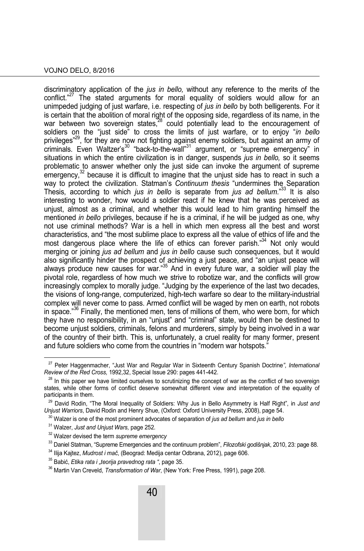#### VOJNO DELO, 8/2016

discriminatory application of the *jus in bello,* without any reference to the merits of the conflict."<sup>27</sup> The stated arguments for moral equality of soldiers would allow for an unimpeded judging of just warfare, i.e. respecting of *јus in bello* by both belligerents. For it is certain that the abolition of moral right of the opposing side, regardless of its name, in the war between two sovereign states,<sup>28</sup> could potentially lead to the encouragement of soldiers on the "just side" to cross the limits of just warfare, or to enjoy "*in bello*  privileges<sup>"29</sup>, for they are now not fighting against enemy soldiers, but against an army of criminals. Even Waltzer's30 "back-to-the-wall"31 argument, or "supreme emergency" in situations in which the entire civilization is in danger, suspends *јus in bello,* so it seems problematic to answer whether only the just side can invoke the argument of supreme emergency, $32$  because it is difficult to imagine that the uniust side has to react in such a way to protect the civilization. Statman's *Continuum thesis* "undermines the Separation Thesis, according to which *jus in bello* is separate from *jus ad bellum*."33 It is also interesting to wonder, how would a soldier react if he knew that he was perceived as unjust, almost as a criminal, and whether this would lead to him granting himself the mentioned *in bello* privileges, because if he is a criminal, if he will be judged as one, why not use criminal methods? War is a hell in which men express all the best and worst characteristics, and "the most sublime place to express all the value of ethics of life and the most dangerous place where the life of ethics can forever parish.<sup>34</sup> Not only would merging or joining *јus ad bellum* and *јus in bello* cause such consequences, but it would also significantly hinder the prospect of achieving a just peace, and "an unjust peace will always produce new causes for war."<sup>35</sup> And in every future war, a soldier will play the pivotal role, regardless of how much we strive to robotize war, and the conflicts will grow increasingly complex to morally judge. "Judging by the experience of the last two decades, the visions of long-range, computerized, high-tech warfare so dear to the military-industrial complex will never come to pass. Armed conflict will be waged by men on earth, not robots in space." $36$  Finally, the mentioned men, tens of millions of them, who were born, for which they have no responsibility, in an "unjust" and "criminal" state, would then be destined to become unjust soldiers, criminals, felons and murderers, simply by being involved in a war of the country of their birth. This is, unfortunately, a cruel reality for many former, present and future soldiers who come from the countries in "modern war hotspots."

<sup>27</sup> Peter Haggenmacher, "Just War and Regular War in Sixteenth Century Spanish Doctrine*"*, *International* 

<sup>&</sup>lt;sup>28</sup> In this paper we have limited ourselves to scrutinizing the concept of war as the conflict of two sovereign states, while other forms of conflict deserve somewhat different view and interpretation of the equality of participants in them.

<sup>&</sup>lt;sup>29</sup> David Rodin, "The Moral Inequality of Soldiers: Why Jus in Bello Asymmetry is Half Right", in *Just and Uniust Warriors*, David Rodin and Henry Shue, (Oxford: Oxford University Press, 2008), page 54.

<sup>&</sup>lt;sup>30</sup> Walzer is one of the most prominent advocates of separation of *jus ad bellum* and *jus in bello* 

<sup>&</sup>lt;sup>31</sup> Walzer, *Just and Unjust Wars,* page 252.<br><sup>32</sup> Walzer devised the term *supreme emergency* 

<sup>&</sup>lt;sup>33</sup> Daniel Statman, "Supreme Emergencies and the continuum problem", *Filozofski godišnjak*, 2010, 23: page 88.<br><sup>34</sup> Ilija Kajtez, *Mudrost i mač*, (Beograd: Medija centar Odbrana, 2012), page 606.<br><sup>35</sup> Babić, *Etika rata*